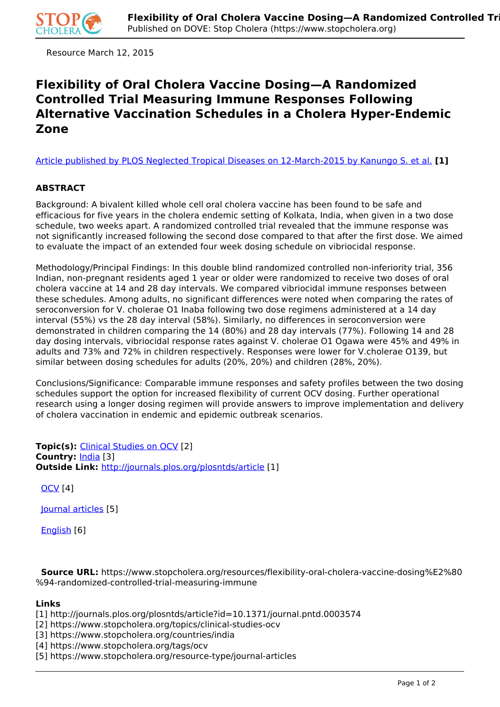

Resource March 12, 2015

## **Flexibility of Oral Cholera Vaccine Dosing—A Randomized Controlled Trial Measuring Immune Responses Following Alternative Vaccination Schedules in a Cholera Hyper-Endemic Zone**

[Article published by PLOS Neglected Tropical Diseases on 12-March-2015 by Kanungo S. et al.](http://journals.plos.org/plosntds/article?id=10.1371/journal.pntd.0003574) **[1]**

## **ABSTRACT**

Background: A bivalent killed whole cell oral cholera vaccine has been found to be safe and efficacious for five years in the cholera endemic setting of Kolkata, India, when given in a two dose schedule, two weeks apart. A randomized controlled trial revealed that the immune response was not significantly increased following the second dose compared to that after the first dose. We aimed to evaluate the impact of an extended four week dosing schedule on vibriocidal response.

Methodology/Principal Findings: In this double blind randomized controlled non-inferiority trial, 356 Indian, non-pregnant residents aged 1 year or older were randomized to receive two doses of oral cholera vaccine at 14 and 28 day intervals. We compared vibriocidal immune responses between these schedules. Among adults, no significant differences were noted when comparing the rates of seroconversion for V. cholerae O1 Inaba following two dose regimens administered at a 14 day interval (55%) vs the 28 day interval (58%). Similarly, no differences in seroconversion were demonstrated in children comparing the 14 (80%) and 28 day intervals (77%). Following 14 and 28 day dosing intervals, vibriocidal response rates against V. cholerae O1 Ogawa were 45% and 49% in adults and 73% and 72% in children respectively. Responses were lower for V.cholerae O139, but similar between dosing schedules for adults (20%, 20%) and children (28%, 20%).

Conclusions/Significance: Comparable immune responses and safety profiles between the two dosing schedules support the option for increased flexibility of current OCV dosing. Further operational research using a longer dosing regimen will provide answers to improve implementation and delivery of cholera vaccination in endemic and epidemic outbreak scenarios.

**Topic(s):** Clinical Studies on OCV [2] **Country:** India [3] **Outside Link:** http://journals.plos.org/plosntds/article [1]

OCV [4]

Journal articles [5]

English [6]

 **Source URL:** https://www.stopcholera.org/resources/flexibility-oral-cholera-vaccine-dosing%E2%80 %94-randomized-controlled-trial-measuring-immune

## **Links**

[1] http://journals.plos.org/plosntds/article?id=10.1371/journal.pntd.0003574

[2] https://www.stopcholera.org/topics/clinical-studies-ocv

[3] https://www.stopcholera.org/countries/india

[4] https://www.stopcholera.org/tags/ocv

[5] https://www.stopcholera.org/resource-type/journal-articles